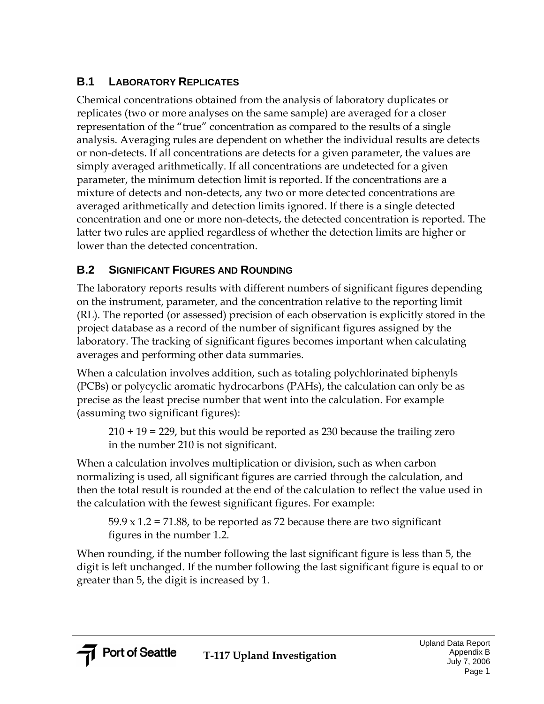## **B.1 LABORATORY REPLICATES**

Chemical concentrations obtained from the analysis of laboratory duplicates or replicates (two or more analyses on the same sample) are averaged for a closer representation of the "true" concentration as compared to the results of a single analysis. Averaging rules are dependent on whether the individual results are detects or non-detects. If all concentrations are detects for a given parameter, the values are simply averaged arithmetically. If all concentrations are undetected for a given parameter, the minimum detection limit is reported. If the concentrations are a mixture of detects and non-detects, any two or more detected concentrations are averaged arithmetically and detection limits ignored. If there is a single detected concentration and one or more non-detects, the detected concentration is reported. The latter two rules are applied regardless of whether the detection limits are higher or lower than the detected concentration.

# **B.2 SIGNIFICANT FIGURES AND ROUNDING**

The laboratory reports results with different numbers of significant figures depending on the instrument, parameter, and the concentration relative to the reporting limit (RL). The reported (or assessed) precision of each observation is explicitly stored in the project database as a record of the number of significant figures assigned by the laboratory. The tracking of significant figures becomes important when calculating averages and performing other data summaries.

When a calculation involves addition, such as totaling polychlorinated biphenyls (PCBs) or polycyclic aromatic hydrocarbons (PAHs), the calculation can only be as precise as the least precise number that went into the calculation. For example (assuming two significant figures):

210 + 19 = 229, but this would be reported as 230 because the trailing zero in the number 210 is not significant.

When a calculation involves multiplication or division, such as when carbon normalizing is used, all significant figures are carried through the calculation, and then the total result is rounded at the end of the calculation to reflect the value used in the calculation with the fewest significant figures. For example:

 $59.9 \times 1.2 = 71.88$ , to be reported as 72 because there are two significant figures in the number 1.2.

When rounding, if the number following the last significant figure is less than 5, the digit is left unchanged. If the number following the last significant figure is equal to or greater than 5, the digit is increased by 1.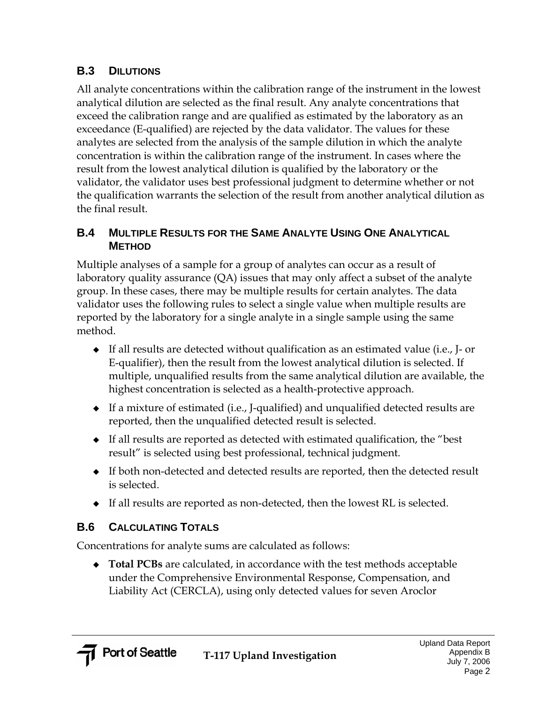## **B.3 DILUTIONS**

All analyte concentrations within the calibration range of the instrument in the lowest analytical dilution are selected as the final result. Any analyte concentrations that exceed the calibration range and are qualified as estimated by the laboratory as an exceedance (E-qualified) are rejected by the data validator. The values for these analytes are selected from the analysis of the sample dilution in which the analyte concentration is within the calibration range of the instrument. In cases where the result from the lowest analytical dilution is qualified by the laboratory or the validator, the validator uses best professional judgment to determine whether or not the qualification warrants the selection of the result from another analytical dilution as the final result.

#### **B.4 MULTIPLE RESULTS FOR THE SAME ANALYTE USING ONE ANALYTICAL METHOD**

Multiple analyses of a sample for a group of analytes can occur as a result of laboratory quality assurance (QA) issues that may only affect a subset of the analyte group. In these cases, there may be multiple results for certain analytes. The data validator uses the following rules to select a single value when multiple results are reported by the laboratory for a single analyte in a single sample using the same method.

- $\bullet$  If all results are detected without qualification as an estimated value (i.e., J- or E-qualifier), then the result from the lowest analytical dilution is selected. If multiple, unqualified results from the same analytical dilution are available, the highest concentration is selected as a health-protective approach.
- If a mixture of estimated (i.e., J-qualified) and unqualified detected results are reported, then the unqualified detected result is selected.
- If all results are reported as detected with estimated qualification, the "best result" is selected using best professional, technical judgment.
- If both non-detected and detected results are reported, then the detected result is selected.
- If all results are reported as non-detected, then the lowest RL is selected.

## **B.6 CALCULATING TOTALS**

Concentrations for analyte sums are calculated as follows:

 **Total PCBs** are calculated, in accordance with the test methods acceptable under the Comprehensive Environmental Response, Compensation, and Liability Act (CERCLA), using only detected values for seven Aroclor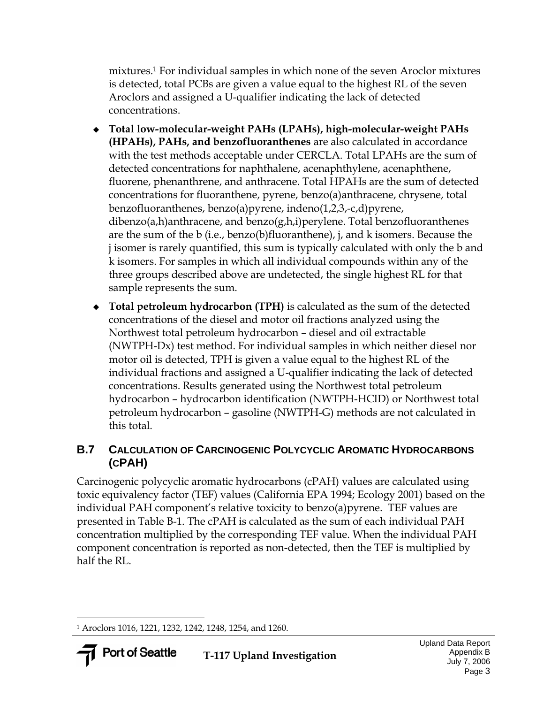mixtures.1 For individual samples in which none of the seven Aroclor mixtures is detected, total PCBs are given a value equal to the highest RL of the seven Aroclors and assigned a U-qualifier indicating the lack of detected concentrations.

- **Total low-molecular-weight PAHs (LPAHs), high-molecular-weight PAHs (HPAHs), PAHs, and benzofluoranthenes** are also calculated in accordance with the test methods acceptable under CERCLA. Total LPAHs are the sum of detected concentrations for naphthalene, acenaphthylene, acenaphthene, fluorene, phenanthrene, and anthracene. Total HPAHs are the sum of detected concentrations for fluoranthene, pyrene, benzo(a)anthracene, chrysene, total benzofluoranthenes, benzo(a)pyrene, indeno(1,2,3,-c,d)pyrene, dibenzo(a,h)anthracene, and benzo(g,h,i)perylene. Total benzofluoranthenes are the sum of the b (i.e., benzo(b)fluoranthene), j, and k isomers. Because the j isomer is rarely quantified, this sum is typically calculated with only the b and k isomers. For samples in which all individual compounds within any of the three groups described above are undetected, the single highest RL for that sample represents the sum.
- **Total petroleum hydrocarbon (TPH)** is calculated as the sum of the detected concentrations of the diesel and motor oil fractions analyzed using the Northwest total petroleum hydrocarbon – diesel and oil extractable (NWTPH-Dx) test method. For individual samples in which neither diesel nor motor oil is detected, TPH is given a value equal to the highest RL of the individual fractions and assigned a U-qualifier indicating the lack of detected concentrations. Results generated using the Northwest total petroleum hydrocarbon – hydrocarbon identification (NWTPH-HCID) or Northwest total petroleum hydrocarbon – gasoline (NWTPH-G) methods are not calculated in this total.

### **B.7 CALCULATION OF CARCINOGENIC POLYCYCLIC AROMATIC HYDROCARBONS (CPAH)**

Carcinogenic polycyclic aromatic hydrocarbons (cPAH) values are calculated using toxic equivalency factor (TEF) values (California EPA 1994; Ecology 2001) based on the individual PAH component's relative toxicity to benzo(a)pyrene. TEF values are presented in Table B-1. The cPAH is calculated as the sum of each individual PAH concentration multiplied by the corresponding TEF value. When the individual PAH component concentration is reported as non-detected, then the TEF is multiplied by half the RL.

 $\overline{a}$ 1 Aroclors 1016, 1221, 1232, 1242, 1248, 1254, and 1260.